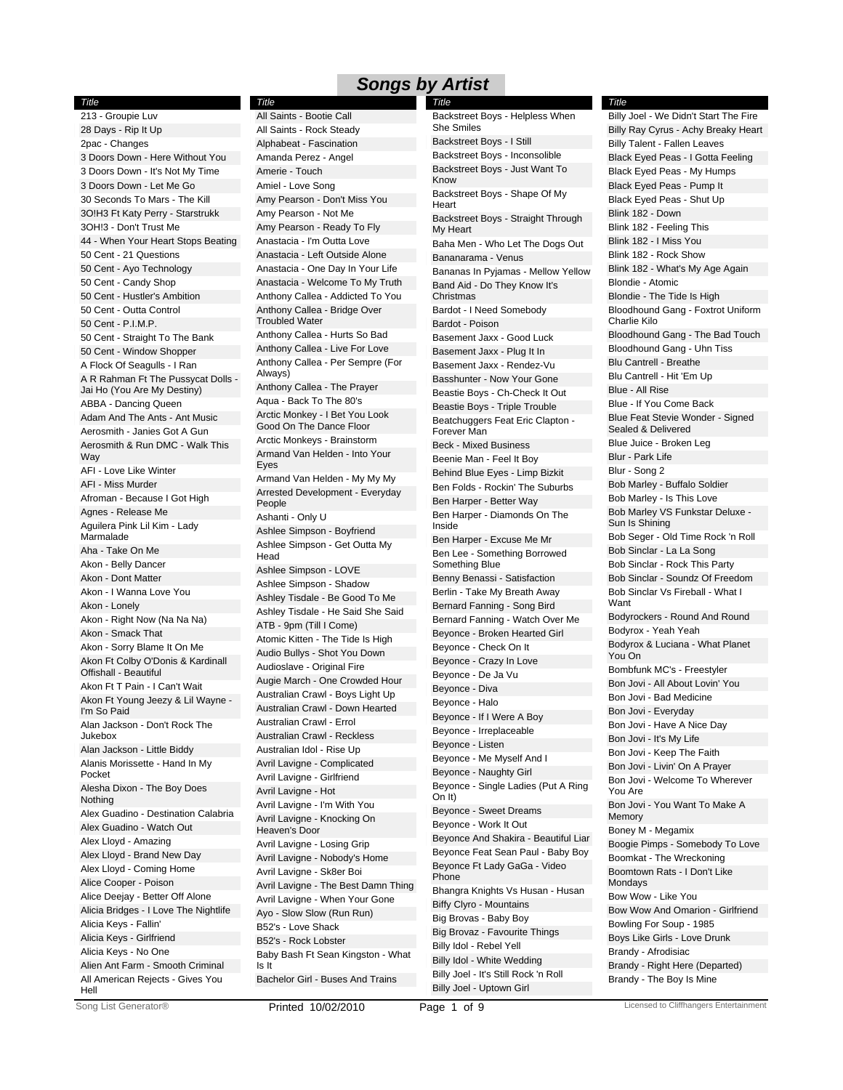*Title*

213 - Groupie Luv 28 Days - Rip It Up 2pac - Changes 3 Doors Down - Here Without You 3 Doors Down - It's Not My Time 3 Doors Down - Let Me Go 30 Seconds To Mars - The Kill 3O!H3 Ft Katy Perry - Starstrukk 3OH!3 - Don't Trust Me 44 - When Your Heart Stops Beating 50 Cent - 21 Questions 50 Cent - Ayo Technology 50 Cent - Candy Shop 50 Cent - Hustler's Ambition 50 Cent - Outta Control 50 Cent - P.I.M.P. 50 Cent - Straight To The Bank 50 Cent - Window Shopper A Flock Of Seagulls - I Ran A R Rahman Ft The Pussycat Dolls - Jai Ho (You Are My Destiny) ABBA - Dancing Queen Adam And The Ants - Ant Music Aerosmith - Janies Got A Gun Aerosmith & Run DMC - Walk This **Way** AFI - Love Like Winter AFI - Miss Murder Afroman - Because I Got High Agnes - Release Me Aguilera Pink Lil Kim - Lady Marmalade Aha - Take On Me Akon - Belly Dancer Akon - Dont Matter Akon - I Wanna Love You Akon - Lonely Akon - Right Now (Na Na Na) Akon - Smack That Akon - Sorry Blame It On Me Akon Ft Colby O'Donis & Kardinall Offishall - Beautiful Akon Ft T Pain - I Can't Wait Akon Ft Young Jeezy & Lil Wayne - I'm So Paid Alan Jackson - Don't Rock The Jukebox Alan Jackson - Little Biddy Alanis Morissette - Hand In My Pocket Alesha Dixon - The Boy Does Nothing Alex Guadino - Destination Calabria Alex Guadino - Watch Out Alex Lloyd - Amazing Alex Lloyd - Brand New Day Alex Lloyd - Coming Home Alice Cooper - Poison Alice Deejay - Better Off Alone Alicia Bridges - I Love The Nightlife Alicia Keys - Fallin' Alicia Keys - Girlfriend Alicia Keys - No One Alien Ant Farm - Smooth Criminal All American Rejects - Gives You Hell

All Saints - Rock Steady Alphabeat - Fascination Amanda Perez - Angel Amerie - Touch Amiel - Love Song Amy Pearson - Don't Miss You Amy Pearson - Not Me Amy Pearson - Ready To Fly Anastacia - I'm Outta Love Anastacia - Left Outside Alone Anastacia - One Day In Your Life Anastacia - Welcome To My Truth Anthony Callea - Addicted To You Anthony Callea - Bridge Over Troubled Water Anthony Callea - Hurts So Bad Anthony Callea - Live For Love Anthony Callea - Per Sempre (For Always) Anthony Callea - The Prayer Aqua - Back To The 80's Arctic Monkey - I Bet You Look Good On The Dance Floor Arctic Monkeys - Brainstorm Armand Van Helden - Into Your Eyes Armand Van Helden - My My My Arrested Development - Everyday People Ashanti - Only U Ashlee Simpson - Boyfriend Ashlee Simpson - Get Outta My Head Ashlee Simpson - LOVE Ashlee Simpson - Shadow Ashley Tisdale - Be Good To Me Ashley Tisdale - He Said She Said ATB - 9pm (Till I Come) Atomic Kitten - The Tide Is High Audio Bullys - Shot You Down Audioslave - Original Fire Augie March - One Crowded Hour Australian Crawl - Boys Light Up Australian Crawl - Down Hearted Australian Crawl - Errol Australian Crawl - Reckless Australian Idol - Rise Up Avril Lavigne - Complicated Avril Lavigne - Girlfriend Avril Lavigne - Hot Avril Lavigne - I'm With You Avril Lavigne - Knocking On Heaven's Door Avril Lavigne - Losing Grip Avril Lavigne - Nobody's Home Avril Lavigne - Sk8er Boi Avril Lavigne - The Best Damn Thing Avril Lavigne - When Your Gone Ayo - Slow Slow (Run Run) B52's - Love Shack B52's - Rock Lobster Baby Bash Ft Sean Kingston - What Is It Bachelor Girl - Buses And Trains *Title* All Saints - Bootie Call

Backstreet Boys - I Still Backstreet Boys - Inconsolible Backstreet Boys - Just Want To Know Backstreet Boys - Shape Of My Heart Backstreet Boys - Straight Through My Heart Baha Men - Who Let The Dogs Out Bananarama - Venus Bananas In Pyjamas - Mellow Yellow Band Aid - Do They Know It's Christmas Bardot - I Need Somebody Bardot - Poison Basement Jaxx - Good Luck Basement Jaxx - Plug It In Basement Jaxx - Rendez-Vu Basshunter - Now Your Gone Beastie Boys - Ch-Check It Out Beastie Boys - Triple Trouble Beatchuggers Feat Eric Clapton - Forever Man Beck - Mixed Business Beenie Man - Feel It Boy Behind Blue Eyes - Limp Bizkit Ben Folds - Rockin' The Suburbs Ben Harper - Better Way Ben Harper - Diamonds On The Inside Ben Harper - Excuse Me Mr Ben Lee - Something Borrowed Something Blue Benny Benassi - Satisfaction Berlin - Take My Breath Away Bernard Fanning - Song Bird Bernard Fanning - Watch Over Me Beyonce - Broken Hearted Girl Beyonce - Check On It Beyonce - Crazy In Love Beyonce - De Ja Vu Beyonce - Diva Beyonce - Halo Beyonce - If I Were A Boy Beyonce - Irreplaceable Beyonce - Listen Beyonce - Me Myself And I Beyonce - Naughty Girl Beyonce - Single Ladies (Put A Ring On It) Beyonce - Sweet Dreams Beyonce - Work It Out Beyonce And Shakira - Beautiful Liar Beyonce Feat Sean Paul - Baby Boy Beyonce Ft Lady GaGa - Video Phone Bhangra Knights Vs Husan - Husan Biffy Clyro - Mountains Big Brovas - Baby Boy Big Brovaz - Favourite Things Billy Idol - Rebel Yell Billy Idol - White Wedding Billy Joel - It's Still Rock 'n Roll Billy Joel - Uptown Girl *Title* Backstreet Boys - Helpless When She Smiles

Billy Ray Cyrus - Achy Breaky Heart Billy Talent - Fallen Leaves Black Eyed Peas - I Gotta Feeling Black Eyed Peas - My Humps Black Eyed Peas - Pump It Black Eyed Peas - Shut Up Blink 182 - Down Blink 182 - Feeling This Blink 182 - I Miss You Blink 182 - Rock Show Blink 182 - What's My Age Again Blondie - Atomic Blondie - The Tide Is High Bloodhound Gang - Foxtrot Uniform Charlie Kilo Bloodhound Gang - The Bad Touch Bloodhound Gang - Uhn Tiss Blu Cantrell - Breathe Blu Cantrell - Hit 'Em Up Blue - All Rise Blue - If You Come Back Blue Feat Stevie Wonder - Signed Sealed & Delivered Blue Juice - Broken Leg Blur - Park Life Blur - Song 2 Bob Marley - Buffalo Soldier Bob Marley - Is This Love Bob Marley VS Funkstar Deluxe - Sun Is Shining Bob Seger - Old Time Rock 'n Roll Bob Sinclar - La La Song Bob Sinclar - Rock This Party Bob Sinclar - Soundz Of Freedom Bob Sinclar Vs Fireball - What I Want Bodyrockers - Round And Round Bodyrox - Yeah Yeah Bodyrox & Luciana - What Planet You On Bombfunk MC's - Freestyler Bon Jovi - All About Lovin' You Bon Jovi - Bad Medicine Bon Jovi - Everyday Bon Jovi - Have A Nice Day Bon Jovi - It's My Life Bon Jovi - Keep The Faith Bon Jovi - Livin' On A Prayer Bon Jovi - Welcome To Wherever You Are Bon Jovi - You Want To Make A Memory Boney M - Megamix Boogie Pimps - Somebody To Love Boomkat - The Wreckoning Boomtown Rats - I Don't Like Mondays Bow Wow - Like You Bow Wow And Omarion - Girlfriend Bowling For Soup - 1985 Boys Like Girls - Love Drunk Brandy - Afrodisiac Brandy - Right Here (Departed) Brandy - The Boy Is Mine *Title* Billy Joel - We Didn't Start The Fire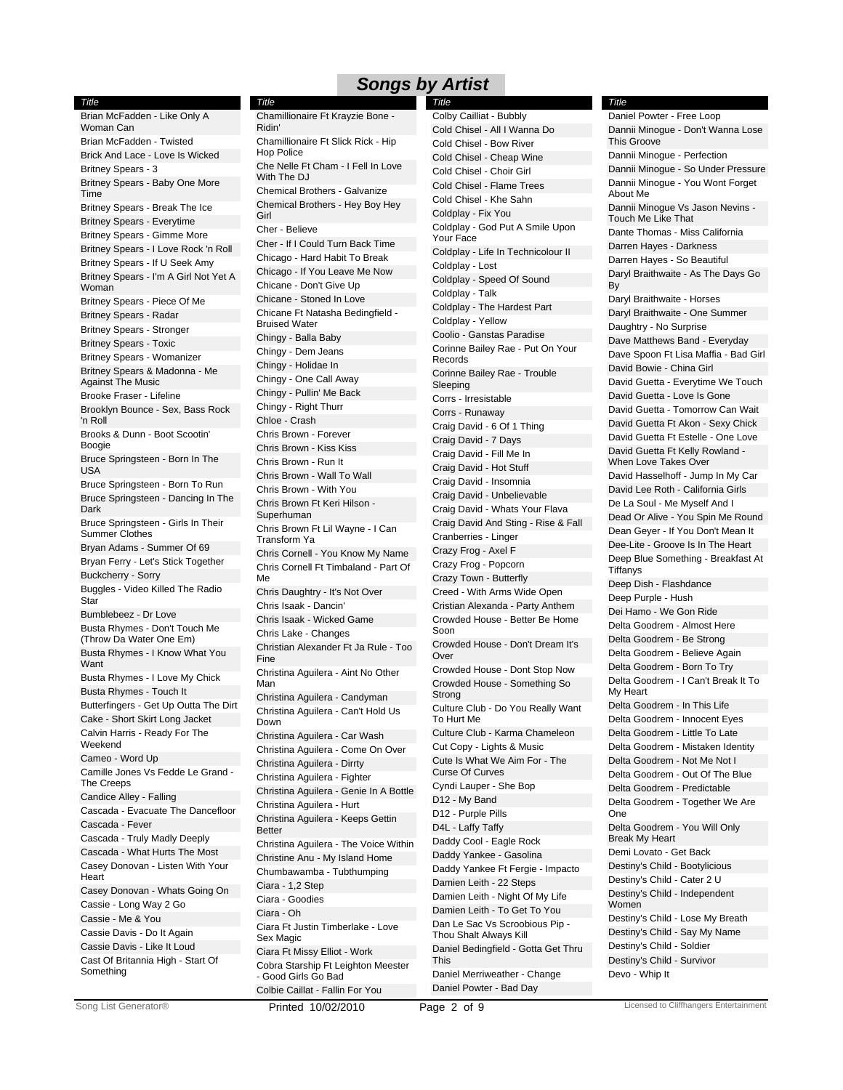#### *Title*

Brian McFadden - Like Only A Woman Can Brian McFadden - Twisted Brick And Lace - Love Is Wicked Britney Spears - 3 Britney Spears - Baby One More Time Britney Spears - Break The Ice Britney Spears - Everytime Britney Spears - Gimme More Britney Spears - I Love Rock 'n Roll Britney Spears - If U Seek Amy Britney Spears - I'm A Girl Not Yet A Woman Britney Spears - Piece Of Me Britney Spears - Radar Britney Spears - Stronger Britney Spears - Toxic Britney Spears - Womanizer Britney Spears & Madonna - Me Against The Music Brooke Fraser - Lifeline Brooklyn Bounce - Sex, Bass Rock 'n Roll Brooks & Dunn - Boot Scootin' Boogie Bruce Springsteen - Born In The USA Bruce Springsteen - Born To Run Bruce Springsteen - Dancing In The Dark Bruce Springsteen - Girls In Their Summer Clothes Bryan Adams - Summer Of 69 Bryan Ferry - Let's Stick Together Buckcherry - Sorry Buggles - Video Killed The Radio **Star** Bumblebeez - Dr Love Busta Rhymes - Don't Touch Me (Throw Da Water One Em) Busta Rhymes - I Know What You Want Busta Rhymes - I Love My Chick Busta Rhymes - Touch It Butterfingers - Get Up Outta The Dirt Cake - Short Skirt Long Jacket Calvin Harris - Ready For The Weekend Cameo - Word Up Camille Jones Vs Fedde Le Grand - The Creeps Candice Alley - Falling Cascada - Evacuate The Dancefloor Cascada - Fever Cascada - Truly Madly Deeply Cascada - What Hurts The Most Casey Donovan - Listen With Your **Heart** Casey Donovan - Whats Going On Cassie - Long Way 2 Go Cassie - Me & You Cassie Davis - Do It Again Cassie Davis - Like It Loud Cast Of Britannia High - Start Of Something

Chamillionaire Ft Slick Rick - Hip Hop Police Che Nelle Ft Cham - I Fell In Love With The DJ Chemical Brothers - Galvanize Chemical Brothers - Hey Boy Hey **Girl** Cher - Believe Cher - If I Could Turn Back Time Chicago - Hard Habit To Break Chicago - If You Leave Me Now Chicane - Don't Give Up Chicane - Stoned In Love Chicane Ft Natasha Bedingfield - Bruised Water Chingy - Balla Baby Chingy - Dem Jeans Chingy - Holidae In Chingy - One Call Away Chingy - Pullin' Me Back Chingy - Right Thurr Chloe - Crash Chris Brown - Forever Chris Brown - Kiss Kiss Chris Brown - Run It Chris Brown - Wall To Wall Chris Brown - With You Chris Brown Ft Keri Hilson - Superhuman Chris Brown Ft Lil Wayne - I Can Transform Ya Chris Cornell - You Know My Name Chris Cornell Ft Timbaland - Part Of Me Chris Daughtry - It's Not Over Chris Isaak - Dancin' Chris Isaak - Wicked Game Chris Lake - Changes Christian Alexander Ft Ja Rule - Too Fine Christina Aguilera - Aint No Other Man Christina Aguilera - Candyman Christina Aguilera - Can't Hold Us Down Christina Aguilera - Car Wash Christina Aguilera - Come On Over Christina Aguilera - Dirrty Christina Aguilera - Fighter Christina Aguilera - Genie In A Bottle Christina Aguilera - Hurt Christina Aguilera - Keeps Gettin Better Christina Aguilera - The Voice Within Christine Anu - My Island Home Chumbawamba - Tubthumping Ciara - 1,2 Step Ciara - Goodies Ciara - Oh Ciara Ft Justin Timberlake - Love Sex Magic Ciara Ft Missy Elliot - Work Cobra Starship Ft Leighton Meester - Good Girls Go Bad Colbie Caillat - Fallin For You *Title* Chamillionaire Ft Krayzie Bone - Ridin'

Cold Chisel - All I Wanna Do Cold Chisel - Bow River Cold Chisel - Cheap Wine Cold Chisel - Choir Girl Cold Chisel - Flame Trees Cold Chisel - Khe Sahn Coldplay - Fix You Coldplay - God Put A Smile Upon Your Face Coldplay - Life In Technicolour II Coldplay - Lost Coldplay - Speed Of Sound Coldplay - Talk Coldplay - The Hardest Part Coldplay - Yellow Coolio - Ganstas Paradise Corinne Bailey Rae - Put On Your Records Corinne Bailey Rae - Trouble Sleeping Corrs - Irresistable Corrs - Runaway Craig David - 6 Of 1 Thing Craig David - 7 Days Craig David - Fill Me In Craig David - Hot Stuff Craig David - Insomnia Craig David - Unbelievable Craig David - Whats Your Flava Craig David And Sting - Rise & Fall Cranberries - Linger Crazy Frog - Axel F Crazy Frog - Popcorn Crazy Town - Butterfly Creed - With Arms Wide Open Cristian Alexanda - Party Anthem Crowded House - Better Be Home Soon Crowded House - Don't Dream It's Over Crowded House - Dont Stop Now Crowded House - Something So Strong Culture Club - Do You Really Want To Hurt Me Culture Club - Karma Chameleon Cut Copy - Lights & Music Cute Is What We Aim For - The Curse Of Curves Cyndi Lauper - She Bop D12 - My Band D12 - Purple Pills D4L - Laffy Taffy Daddy Cool - Eagle Rock Daddy Yankee - Gasolina Daddy Yankee Ft Fergie - Impacto Damien Leith - 22 Steps Damien Leith - Night Of My Life Damien Leith - To Get To You Dan Le Sac Vs Scroobious Pip - Thou Shalt Always Kill Daniel Bedingfield - Gotta Get Thru This Daniel Merriweather - Change Daniel Powter - Bad Day *Title* Colby Cailliat - Bubbly

### Dannii Minogue - Don't Wanna Lose This Groove Dannii Minogue - Perfection Dannii Minogue - So Under Pressure Dannii Minogue - You Wont Forget About Me Dannii Minogue Vs Jason Nevins - Touch Me Like That Dante Thomas - Miss California Darren Hayes - Darkness Darren Hayes - So Beautiful Daryl Braithwaite - As The Days Go By Daryl Braithwaite - Horses Daryl Braithwaite - One Summer Daughtry - No Surprise Dave Matthews Band - Everyday Dave Spoon Ft Lisa Maffia - Bad Girl David Bowie - China Girl David Guetta - Everytime We Touch David Guetta - Love Is Gone David Guetta - Tomorrow Can Wait David Guetta Ft Akon - Sexy Chick David Guetta Ft Estelle - One Love David Guetta Ft Kelly Rowland - When Love Takes Over David Hasselhoff - Jump In My Car David Lee Roth - California Girls De La Soul - Me Myself And I Dead Or Alive - You Spin Me Round Dean Geyer - If You Don't Mean It Dee-Lite - Groove Is In The Heart Deep Blue Something - Breakfast At Tiffanys Deep Dish - Flashdance Deep Purple - Hush Dei Hamo - We Gon Ride Delta Goodrem - Almost Here Delta Goodrem - Be Strong Delta Goodrem - Believe Again Delta Goodrem - Born To Try Delta Goodrem - I Can't Break It To My Heart Delta Goodrem - In This Life Delta Goodrem - Innocent Eyes Delta Goodrem - Little To Late Delta Goodrem - Mistaken Identity Delta Goodrem - Not Me Not I Delta Goodrem - Out Of The Blue Delta Goodrem - Predictable Delta Goodrem - Together We Are One Delta Goodrem - You Will Only Break My Heart Demi Lovato - Get Back Destiny's Child - Bootylicious Destiny's Child - Cater 2 U Destiny's Child - Independent Women Destiny's Child - Lose My Breath Destiny's Child - Say My Name Destiny's Child - Soldier Destiny's Child - Survivor Devo - Whip It Daniel Powter - Free Loop

*Title*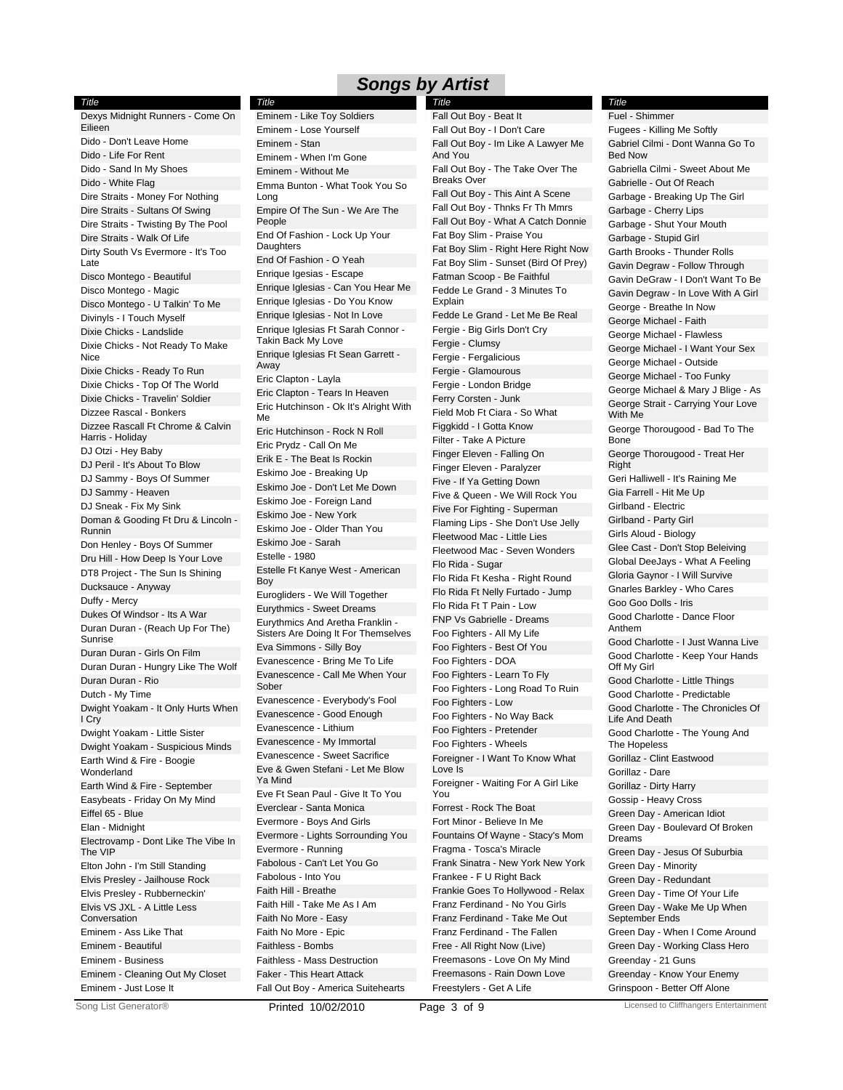*Title* Dexys Midnight Runners - Come On Eilieen Dido - Don't Leave Home Dido - Life For Rent Dido - Sand In My Shoes Dido - White Flag Dire Straits - Money For Nothing Dire Straits - Sultans Of Swing Dire Straits - Twisting By The Pool Dire Straits - Walk Of Life Dirty South Vs Evermore - It's Too Late Disco Montego - Beautiful Disco Montego - Magic Disco Montego - U Talkin' To Me Divinyls - I Touch Myself Dixie Chicks - Landslide Dixie Chicks - Not Ready To Make Nice Dixie Chicks - Ready To Run Dixie Chicks - Top Of The World Dixie Chicks - Travelin' Soldier Dizzee Rascal - Bonkers Dizzee Rascall Ft Chrome & Calvin Harris - Holiday DJ Otzi - Hey Baby DJ Peril - It's About To Blow DJ Sammy - Boys Of Summer DJ Sammy - Heaven DJ Sneak - Fix My Sink Doman & Gooding Ft Dru & Lincoln - Runnin Don Henley - Boys Of Summer Dru Hill - How Deep Is Your Love DT8 Project - The Sun Is Shining Ducksauce - Anyway Duffy - Mercy Dukes Of Windsor - Its A War Duran Duran - (Reach Up For The) Sunrise Duran Duran - Girls On Film Duran Duran - Hungry Like The Wolf Duran Duran - Rio Dutch - My Time Dwight Yoakam - It Only Hurts When I Cry Dwight Yoakam - Little Sister Dwight Yoakam - Suspicious Minds Earth Wind & Fire - Boogie **Wonderland** Earth Wind & Fire - September Easybeats - Friday On My Mind Eiffel 65 - Blue Elan - Midnight Electrovamp - Dont Like The Vibe In The VIP Elton John - I'm Still Standing Elvis Presley - Jailhouse Rock Elvis Presley - Rubberneckin' Elvis VS JXL - A Little Less Conversation Eminem - Ass Like That Eminem - Beautiful Eminem - Business Eminem - Cleaning Out My Closet Eminem - Just Lose It

Eminem - Lose Yourself Eminem - Stan Eminem - When I'm Gone Eminem - Without Me Emma Bunton - What Took You So Long Empire Of The Sun - We Are The People End Of Fashion - Lock Up Your **Daughters** End Of Fashion - O Yeah Enrique Igesias - Escape Enrique Iglesias - Can You Hear Me Enrique Iglesias - Do You Know Enrique Iglesias - Not In Love Enrique Iglesias Ft Sarah Connor - Takin Back My Love Enrique Iglesias Ft Sean Garrett - Away Eric Clapton - Layla Eric Clapton - Tears In Heaven Eric Hutchinson - Ok It's Alright With Me Eric Hutchinson - Rock N Roll Eric Prydz - Call On Me Erik E - The Beat Is Rockin Eskimo Joe - Breaking Up Eskimo Joe - Don't Let Me Down Eskimo Joe - Foreign Land Eskimo Joe - New York Eskimo Joe - Older Than You Eskimo Joe - Sarah Estelle - 1980 Estelle Ft Kanye West - American Boy Eurogliders - We Will Together Eurythmics - Sweet Dreams Eurythmics And Aretha Franklin - Sisters Are Doing It For Themselves Eva Simmons - Silly Boy Evanescence - Bring Me To Life Evanescence - Call Me When Your Sober Evanescence - Everybody's Fool Evanescence - Good Enough Evanescence - Lithium Evanescence - My Immortal Evanescence - Sweet Sacrifice Eve & Gwen Stefani - Let Me Blow Ya Mind Eve Ft Sean Paul - Give It To You Everclear - Santa Monica Evermore - Boys And Girls Evermore - Lights Sorrounding You Evermore - Running Fabolous - Can't Let You Go Fabolous - Into You Faith Hill - Breathe Faith Hill - Take Me As I Am Faith No More - Easy Faith No More - Epic Faithless - Bombs Faithless - Mass Destruction Faker - This Heart Attack *Title* Eminem - Like Toy Soldiers

Fall Out Boy - I Don't Care Fall Out Boy - Im Like A Lawyer Me And You Fall Out Boy - The Take Over The Breaks Over Fall Out Boy - This Aint A Scene Fall Out Boy - Thnks Fr Th Mmrs Fall Out Boy - What A Catch Donnie Fat Boy Slim - Praise You Fat Boy Slim - Right Here Right Now Fat Boy Slim - Sunset (Bird Of Prey) Fatman Scoop - Be Faithful Fedde Le Grand - 3 Minutes To Explain Fedde Le Grand - Let Me Be Real Fergie - Big Girls Don't Cry Fergie - Clumsy Fergie - Fergalicious Fergie - Glamourous Fergie - London Bridge Ferry Corsten - Junk Field Mob Ft Ciara - So What Figgkidd - I Gotta Know Filter - Take A Picture Finger Eleven - Falling On Finger Eleven - Paralyzer Five - If Ya Getting Down Five & Queen - We Will Rock You Five For Fighting - Superman Flaming Lips - She Don't Use Jelly Fleetwood Mac - Little Lies Fleetwood Mac - Seven Wonders Flo Rida - Sugar Flo Rida Ft Kesha - Right Round Flo Rida Ft Nelly Furtado - Jump Flo Rida Ft T Pain - Low FNP Vs Gabrielle - Dreams Foo Fighters - All My Life Foo Fighters - Best Of You Foo Fighters - DOA Foo Fighters - Learn To Fly Foo Fighters - Long Road To Ruin Foo Fighters - Low Foo Fighters - No Way Back Foo Fighters - Pretender Foo Fighters - Wheels Foreigner - I Want To Know What Love Is Foreigner - Waiting For A Girl Like You Forrest - Rock The Boat Fort Minor - Believe In Me Fountains Of Wayne - Stacy's Mom Fragma - Tosca's Miracle Frank Sinatra - New York New York Frankee - F U Right Back Frankie Goes To Hollywood - Relax Franz Ferdinand - No You Girls Franz Ferdinand - Take Me Out Franz Ferdinand - The Fallen Free - All Right Now (Live) Freemasons - Love On My Mind Freemasons - Rain Down Love Freestylers - Get A Life *Title* Fall Out Boy - Beat It

Fugees - Killing Me Softly Gabriel Cilmi - Dont Wanna Go To Bed Now Gabriella Cilmi - Sweet About Me Gabrielle - Out Of Reach Garbage - Breaking Up The Girl Garbage - Cherry Lips Garbage - Shut Your Mouth Garbage - Stupid Girl Garth Brooks - Thunder Rolls Gavin Degraw - Follow Through Gavin DeGraw - I Don't Want To Be Gavin Degraw - In Love With A Girl George - Breathe In Now George Michael - Faith George Michael - Flawless George Michael - I Want Your Sex George Michael - Outside George Michael - Too Funky George Michael & Mary J Blige - As George Strait - Carrying Your Love With Me George Thorougood - Bad To The Bone George Thorougood - Treat Her **Right** Geri Halliwell - It's Raining Me Gia Farrell - Hit Me Up Girlband - Electric Girlband - Party Girl Girls Aloud - Biology Glee Cast - Don't Stop Beleiving Global DeeJays - What A Feeling Gloria Gaynor - I Will Survive Gnarles Barkley - Who Cares Goo Goo Dolls - Iris Good Charlotte - Dance Floor Anthem Good Charlotte - I Just Wanna Live Good Charlotte - Keep Your Hands Off My Girl Good Charlotte - Little Things Good Charlotte - Predictable Good Charlotte - The Chronicles Of Life And Death Good Charlotte - The Young And The Hopeless Gorillaz - Clint Eastwood Gorillaz - Dare Gorillaz - Dirty Harry Gossip - Heavy Cross Green Day - American Idiot Green Day - Boulevard Of Broken Dreams Green Day - Jesus Of Suburbia Green Day - Minority Green Day - Redundant Green Day - Time Of Your Life Green Day - Wake Me Up When September Ends Green Day - When I Come Around Green Day - Working Class Hero Greenday - 21 Guns Greenday - Know Your Enemy Fuel - Shimmer

*Title*

Fall Out Boy - America Suitehearts

Printed 10/02/2010 Page 3 of 9 Licensed to Cliffhangers Entertainment

Grinspoon - Better Off Alone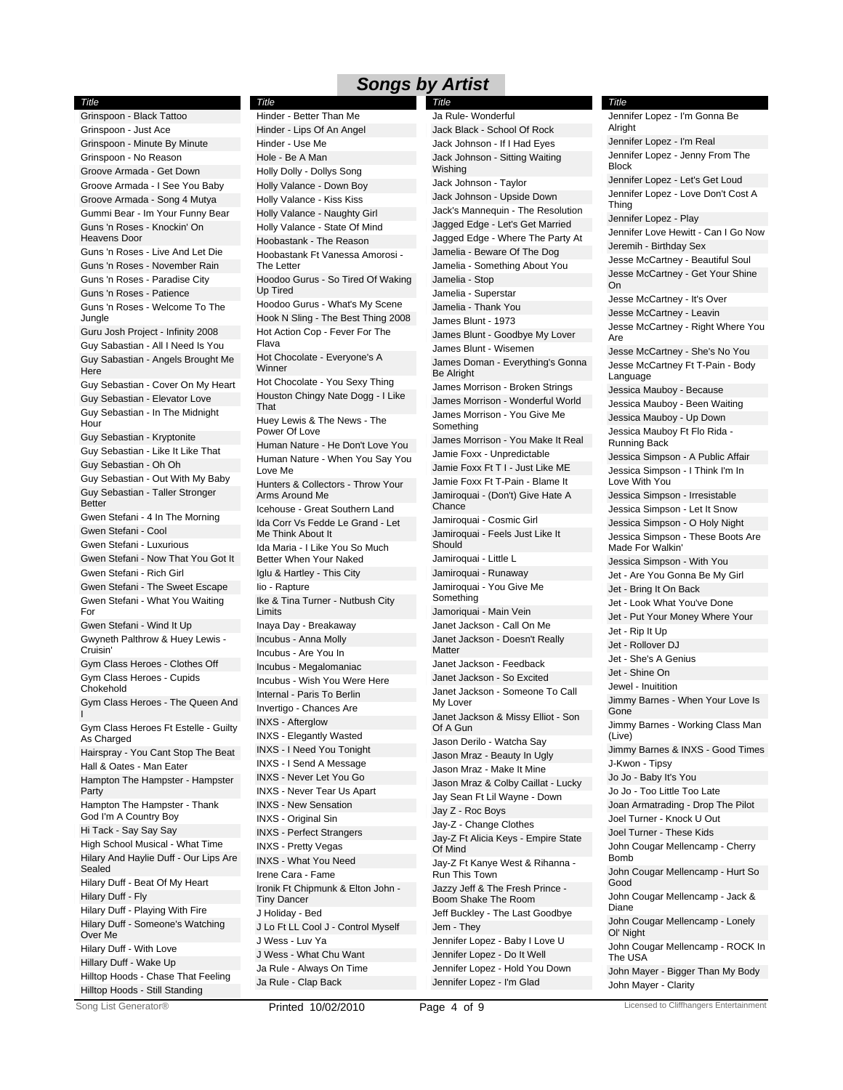*Title*

Grinspoon - Black Tattoo Grinspoon - Just Ace Grinspoon - Minute By Minute Grinspoon - No Reason Groove Armada - Get Down Groove Armada - I See You Baby Groove Armada - Song 4 Mutya Gummi Bear - Im Your Funny Bear Guns 'n Roses - Knockin' On Heavens Door Guns 'n Roses - Live And Let Die Guns 'n Roses - November Rain Guns 'n Roses - Paradise City Guns 'n Roses - Patience Guns 'n Roses - Welcome To The **Jungle** Guru Josh Project - Infinity 2008 Guy Sabastian - All I Need Is You Guy Sabastian - Angels Brought Me **Here** Guy Sebastian - Cover On My Heart Guy Sebastian - Elevator Love Guy Sebastian - In The Midnight Hour Guy Sebastian - Kryptonite Guy Sebastian - Like It Like That Guy Sebastian - Oh Oh Guy Sebastian - Out With My Baby Guy Sebastian - Taller Stronger Better Gwen Stefani - 4 In The Morning Gwen Stefani - Cool Gwen Stefani - Luxurious Gwen Stefani - Now That You Got It Gwen Stefani - Rich Girl Gwen Stefani - The Sweet Escape Gwen Stefani - What You Waiting For Gwen Stefani - Wind It Up Gwyneth Palthrow & Huey Lewis - Cruisin' Gym Class Heroes - Clothes Off Gym Class Heroes - Cupids Chokehold Gym Class Heroes - The Queen And I Gym Class Heroes Ft Estelle - Guilty As Charged Hairspray - You Cant Stop The Beat Hall & Oates - Man Eater Hampton The Hampster - Hampster **Party** Hampton The Hampster - Thank God I'm A Country Boy Hi Tack - Say Say Say High School Musical - What Time Hilary And Haylie Duff - Our Lips Are Sealed Hilary Duff - Beat Of My Heart Hilary Duff - Fly Hilary Duff - Playing With Fire Hilary Duff - Someone's Watching Over Me Hilary Duff - With Love Hillary Duff - Wake Up Hilltop Hoods - Chase That Feeling Hilltop Hoods - Still Standing

Hinder - Lips Of An Angel Hinder - Use Me Hole - Be A Man Holly Dolly - Dollys Song Holly Valance - Down Boy Holly Valance - Kiss Kiss Holly Valance - Naughty Girl Holly Valance - State Of Mind Hoobastank - The Reason Hoobastank Ft Vanessa Amorosi - The Letter Hoodoo Gurus - So Tired Of Waking Up Tired Hoodoo Gurus - What's My Scene Hook N Sling - The Best Thing 2008 Hot Action Cop - Fever For The Flava Hot Chocolate - Everyone's A **Winner** Hot Chocolate - You Sexy Thing Houston Chingy Nate Dogg - I Like That Huey Lewis & The News - The Power Of Love Human Nature - He Don't Love You Human Nature - When You Say You Love Me Hunters & Collectors - Throw Your Arms Around Me Icehouse - Great Southern Land Ida Corr Vs Fedde Le Grand - Let Me Think About It Ida Maria - I Like You So Much Better When Your Naked Iglu & Hartley - This City Iio - Rapture Ike & Tina Turner - Nutbush City Limits Inaya Day - Breakaway Incubus - Anna Molly Incubus - Are You In Incubus - Megalomaniac Incubus - Wish You Were Here Internal - Paris To Berlin Invertigo - Chances Are INXS - Afterglow INXS - Elegantly Wasted INXS - I Need You Tonight INXS - I Send A Message INXS - Never Let You Go INXS - Never Tear Us Apart INXS - New Sensation INXS - Original Sin INXS - Perfect Strangers INXS - Pretty Vegas INXS - What You Need Irene Cara - Fame Ironik Ft Chipmunk & Elton John - Tiny Dancer J Holiday - Bed J Lo Ft LL Cool J - Control Myself J Wess - Luv Ya J Wess - What Chu Want Ja Rule - Always On Time Ja Rule - Clap Back Hinder - Better Than Me

Jack Black - School Of Rock Jack Johnson - If I Had Eyes Jack Johnson - Sitting Waiting **Wishing** Jack Johnson - Taylor Jack Johnson - Upside Down Jack's Mannequin - The Resolution Jagged Edge - Let's Get Married Jagged Edge - Where The Party At Jamelia - Beware Of The Dog Jamelia - Something About You Jamelia - Stop Jamelia - Superstar Jamelia - Thank You James Blunt - 1973 James Blunt - Goodbye My Lover James Blunt - Wisemen James Doman - Everything's Gonna Be Alright James Morrison - Broken Strings James Morrison - Wonderful World James Morrison - You Give Me Something James Morrison - You Make It Real Jamie Foxx - Unpredictable Jamie Foxx Ft T I - Just Like ME Jamie Foxx Ft T-Pain - Blame It Jamiroquai - (Don't) Give Hate A Chance Jamiroquai - Cosmic Girl Jamiroquai - Feels Just Like It **Should** Jamiroquai - Little L Jamiroquai - Runaway Jamiroquai - You Give Me Something Jamoriquai - Main Vein Janet Jackson - Call On Me Janet Jackson - Doesn't Really Matter Janet Jackson - Feedback Janet Jackson - So Excited Janet Jackson - Someone To Call My Lover Janet Jackson & Missy Elliot - Son Of A Gun Jason Derilo - Watcha Say Jason Mraz - Beauty In Ugly Jason Mraz - Make It Mine Jason Mraz & Colby Caillat - Lucky Jay Sean Ft Lil Wayne - Down Jay Z - Roc Boys Jay-Z - Change Clothes Jay-Z Ft Alicia Keys - Empire State Of Mind Jay-Z Ft Kanye West & Rihanna - Run This Town Jazzy Jeff & The Fresh Prince - Boom Shake The Room Jeff Buckley - The Last Goodbye Jem - They Jennifer Lopez - Baby I Love U Jennifer Lopez - Do It Well Jennifer Lopez - Hold You Down Jennifer Lopez - I'm Glad *Title* Ja Rule- Wonderful

Jennifer Lopez - I'm Real Jennifer Lopez - Jenny From The Block Jennifer Lopez - Let's Get Loud Jennifer Lopez - Love Don't Cost A Thing Jennifer Lopez - Play Jennifer Love Hewitt - Can I Go Now Jeremih - Birthday Sex Jesse McCartney - Beautiful Soul Jesse McCartney - Get Your Shine On Jesse McCartney - It's Over Jesse McCartney - Leavin Jesse McCartney - Right Where You Are Jesse McCartney - She's No You Jesse McCartney Ft T-Pain - Body Language Jessica Mauboy - Because Jessica Mauboy - Been Waiting Jessica Mauboy - Up Down Jessica Mauboy Ft Flo Rida - Running Back Jessica Simpson - A Public Affair Jessica Simpson - I Think I'm In Love With You Jessica Simpson - Irresistable Jessica Simpson - Let It Snow Jessica Simpson - O Holy Night Jessica Simpson - These Boots Are Made For Walkin' Jessica Simpson - With You Jet - Are You Gonna Be My Girl Jet - Bring It On Back Jet - Look What You've Done Jet - Put Your Money Where Your Jet - Rip It Up Jet - Rollover DJ Jet - She's A Genius Jet - Shine On Jewel - Inuitition Jimmy Barnes - When Your Love Is Gone Jimmy Barnes - Working Class Man (Live) Jimmy Barnes & INXS - Good Times J-Kwon - Tipsy Jo Jo - Baby It's You Jo Jo - Too Little Too Late Joan Armatrading - Drop The Pilot Joel Turner - Knock U Out Joel Turner - These Kids John Cougar Mellencamp - Cherry Bomb John Cougar Mellencamp - Hurt So Good John Cougar Mellencamp - Jack & Diane John Cougar Mellencamp - Lonely Ol' Night John Cougar Mellencamp - ROCK In The USA John Mayer - Bigger Than My Body John Mayer - Clarity Jennifer Lopez - I'm Gonna Be Alright

*Title*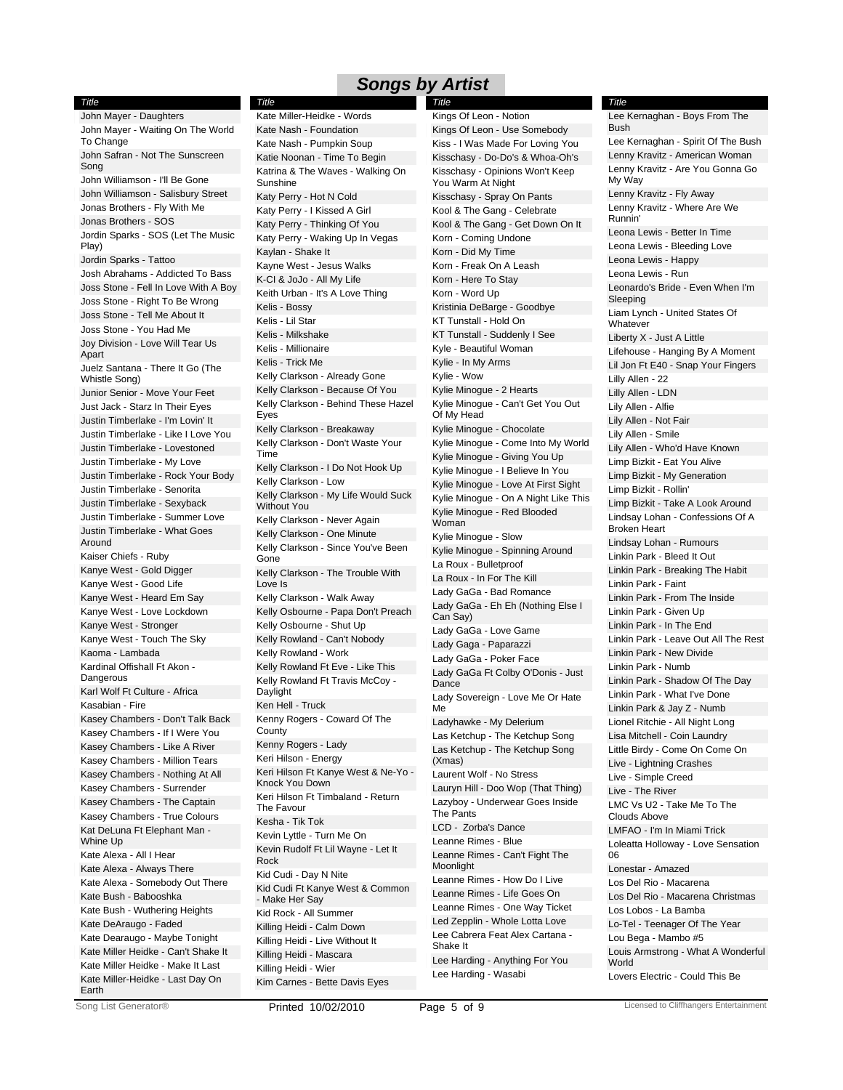*Title* John Mayer - Daughters John Mayer - Waiting On The World To Change John Safran - Not The Sunscreen Song John Williamson - I'll Be Gone John Williamson - Salisbury Street Jonas Brothers - Fly With Me Jonas Brothers - SOS Jordin Sparks - SOS (Let The Music Play) Jordin Sparks - Tattoo Josh Abrahams - Addicted To Bass Joss Stone - Fell In Love With A Boy Joss Stone - Right To Be Wrong Joss Stone - Tell Me About It Joss Stone - You Had Me Joy Division - Love Will Tear Us Apart Juelz Santana - There It Go (The Whistle Song) Junior Senior - Move Your Feet Just Jack - Starz In Their Eyes Justin Timberlake - I'm Lovin' It Justin Timberlake - Like I Love You Justin Timberlake - Lovestoned Justin Timberlake - My Love Justin Timberlake - Rock Your Body Justin Timberlake - Senorita Justin Timberlake - Sexyback Justin Timberlake - Summer Love Justin Timberlake - What Goes Around Kaiser Chiefs - Ruby Kanye West - Gold Digger Kanye West - Good Life Kanye West - Heard Em Say Kanye West - Love Lockdown Kanye West - Stronger Kanye West - Touch The Sky Kaoma - Lambada Kardinal Offishall Ft Akon - **Dangerous** Karl Wolf Ft Culture - Africa Kasabian - Fire Kasey Chambers - Don't Talk Back Kasey Chambers - If I Were You Kasey Chambers - Like A River Kasey Chambers - Million Tears Kasey Chambers - Nothing At All Kasey Chambers - Surrender Kasey Chambers - The Captain Kasey Chambers - True Colours Kat DeLuna Ft Elephant Man - Whine Up Kate Alexa - All I Hear Kate Alexa - Always There Kate Alexa - Somebody Out There Kate Bush - Babooshka Kate Bush - Wuthering Heights Kate DeAraugo - Faded Kate Dearaugo - Maybe Tonight Kate Miller Heidke - Can't Shake It Kate Miller Heidke - Make It Last Kate Miller-Heidke - Last Day On Earth

Kate Nash - Foundation Kate Nash - Pumpkin Soup Katie Noonan - Time To Begin Katrina & The Waves - Walking On Sunshine Katy Perry - Hot N Cold Katy Perry - I Kissed A Girl Katy Perry - Thinking Of You Katy Perry - Waking Up In Vegas Kaylan - Shake It Kayne West - Jesus Walks K-CI & JoJo - All My Life Keith Urban - It's A Love Thing Kelis - Bossy Kelis - Lil Star Kelis - Milkshake Kelis - Millionaire Kelis - Trick Me Kelly Clarkson - Already Gone Kelly Clarkson - Because Of You Kelly Clarkson - Behind These Hazel Eyes Kelly Clarkson - Breakaway Kelly Clarkson - Don't Waste Your Time Kelly Clarkson - I Do Not Hook Up Kelly Clarkson - Low Kelly Clarkson - My Life Would Suck Without You Kelly Clarkson - Never Again Kelly Clarkson - One Minute Kelly Clarkson - Since You've Been Gone Kelly Clarkson - The Trouble With Love Is Kelly Clarkson - Walk Away Kelly Osbourne - Papa Don't Preach Kelly Osbourne - Shut Up Kelly Rowland - Can't Nobody Kelly Rowland - Work Kelly Rowland Ft Eve - Like This Kelly Rowland Ft Travis McCoy - Daylight Ken Hell - Truck Kenny Rogers - Coward Of The **County** Kenny Rogers - Lady Keri Hilson - Energy Keri Hilson Ft Kanye West & Ne-Yo - Knock You Down Keri Hilson Ft Timbaland - Return The Favour Kesha - Tik Tok Kevin Lyttle - Turn Me On Kevin Rudolf Ft Lil Wayne - Let It Rock Kid Cudi - Day N Nite Kid Cudi Ft Kanye West & Common - Make Her Say Kid Rock - All Summer Killing Heidi - Calm Down Killing Heidi - Live Without It Killing Heidi - Mascara Killing Heidi - Wier Kim Carnes - Bette Davis Eyes *Title* Kate Miller-Heidke - Words

Kings Of Leon - Use Somebody Kiss - I Was Made For Loving You Kisschasy - Do-Do's & Whoa-Oh's Kisschasy - Opinions Won't Keep You Warm At Night Kisschasy - Spray On Pants Kool & The Gang - Celebrate Kool & The Gang - Get Down On It Korn - Coming Undone Korn - Did My Time Korn - Freak On A Leash Korn - Here To Stay Korn - Word Up Kristinia DeBarge - Goodbye KT Tunstall - Hold On KT Tunstall - Suddenly I See Kyle - Beautiful Woman Kylie - In My Arms Kylie - Wow Kylie Minogue - 2 Hearts Kylie Minogue - Can't Get You Out Of My Head Kylie Minogue - Chocolate Kylie Minogue - Come Into My World Kylie Minogue - Giving You Up Kylie Minogue - I Believe In You Kylie Minogue - Love At First Sight Kylie Minogue - On A Night Like This Kylie Minogue - Red Blooded Woman Kylie Minogue - Slow Kylie Minogue - Spinning Around La Roux - Bulletproof La Roux - In For The Kill Lady GaGa - Bad Romance Lady GaGa - Eh Eh (Nothing Else I Can Say) Lady GaGa - Love Game Lady Gaga - Paparazzi Lady GaGa - Poker Face Lady GaGa Ft Colby O'Donis - Just Dance Lady Sovereign - Love Me Or Hate Me Ladyhawke - My Delerium Las Ketchup - The Ketchup Song Las Ketchup - The Ketchup Song (Xmas) Laurent Wolf - No Stress Lauryn Hill - Doo Wop (That Thing) Lazyboy - Underwear Goes Inside The Pants LCD - Zorba's Dance Leanne Rimes - Blue Leanne Rimes - Can't Fight The Moonlight Leanne Rimes - How Do I Live Leanne Rimes - Life Goes On Leanne Rimes - One Way Ticket Led Zepplin - Whole Lotta Love Lee Cabrera Feat Alex Cartana - Shake It Lee Harding - Anything For You Lee Harding - Wasabi *Title* Kings Of Leon - Notion

Lee Kernaghan - Spirit Of The Bush Lenny Kravitz - American Woman Lenny Kravitz - Are You Gonna Go My Way Lenny Kravitz - Fly Away Lenny Kravitz - Where Are We Runnin' Leona Lewis - Better In Time Leona Lewis - Bleeding Love Leona Lewis - Happy Leona Lewis - Run Leonardo's Bride - Even When I'm Sleeping Liam Lynch - United States Of Whatever Liberty X - Just A Little Lifehouse - Hanging By A Moment Lil Jon Ft E40 - Snap Your Fingers Lilly Allen - 22 Lilly Allen - LDN Lily Allen - Alfie Lily Allen - Not Fair Lily Allen - Smile Lily Allen - Who'd Have Known Limp Bizkit - Eat You Alive Limp Bizkit - My Generation Limp Bizkit - Rollin' Limp Bizkit - Take A Look Around Lindsay Lohan - Confessions Of A Broken Heart Lindsay Lohan - Rumours Linkin Park - Bleed It Out Linkin Park - Breaking The Habit Linkin Park - Faint Linkin Park - From The Inside Linkin Park - Given Up Linkin Park - In The End Linkin Park - Leave Out All The Rest Linkin Park - New Divide Linkin Park - Numb Linkin Park - Shadow Of The Day Linkin Park - What I've Done Linkin Park & Jay Z - Numb Lionel Ritchie - All Night Long Lisa Mitchell - Coin Laundry Little Birdy - Come On Come On Live - Lightning Crashes Live - Simple Creed Live - The River LMC Vs U2 - Take Me To The Clouds Above LMFAO - I'm In Miami Trick Loleatta Holloway - Love Sensation 06 Lonestar - Amazed Los Del Rio - Macarena Los Del Rio - Macarena Christmas Los Lobos - La Bamba Lo-Tel - Teenager Of The Year Lou Bega - Mambo #5 Louis Armstrong - What A Wonderful World Lovers Electric - Could This Be *Title* Lee Kernaghan - Boys From The Bush

Song List Generator® **Printed 10/02/2010** Page 5 of 9 Licensed to Cliffhangers Entertainment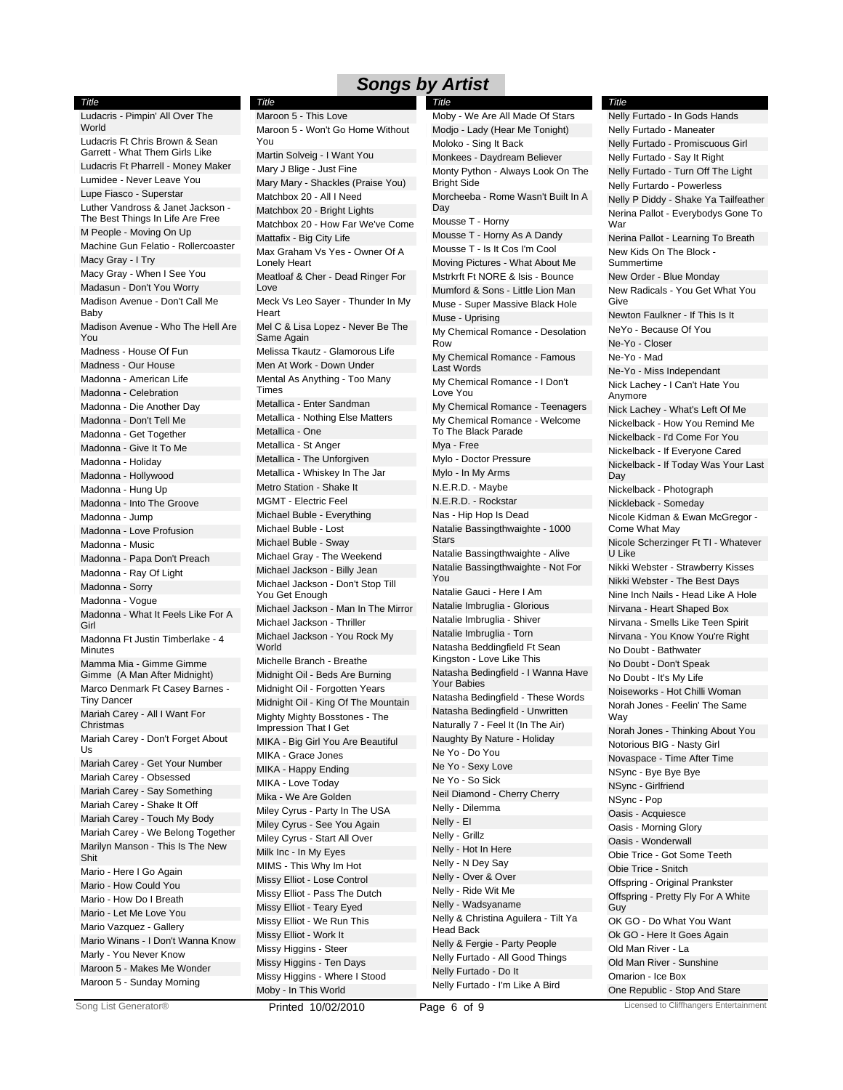*Title*

| Title                                                            |
|------------------------------------------------------------------|
| Ludacris - Pimpin' All Over The<br>World                         |
| Ludacris Ft Chris Brown & Sean<br>Garrett - What Them Girls Like |
| Ludacris Ft Pharrell - Money Maker                               |
| Lumidee - Never Leave You                                        |
| Lupe Fiasco - Superstar                                          |
| Luther Vandross & Janet Jackson -                                |
| The Best Things In Life Are Free<br>M People - Moving On Up      |
| Machine Gun Felatio - Rollercoaster                              |
| Macy Gray - I Try                                                |
| Macy Gray - When I See You                                       |
| Madasun - Don't You Worry                                        |
| Madison Avenue - Don't Call Me<br>Baby                           |
| Madison Avenue - Who The Hell Are<br>You                         |
| Madness - House Of Fun                                           |
| Madness - Our House                                              |
| Madonna - American Life                                          |
| Madonna - Celebration                                            |
| Madonna - Die Another Day                                        |
| Madonna - Don't Tell Me                                          |
| Madonna - Get Together                                           |
| Madonna - Give It To Me                                          |
| Madonna - Holiday                                                |
| Madonna - Hollywood                                              |
| Madonna - Hung Up                                                |
| Madonna - Into The Groove                                        |
| Madonna - Jump                                                   |
| Madonna - Love Profusion                                         |
| Madonna - Music                                                  |
| Madonna - Papa Don't Preach                                      |
| Madonna - Ray Of Light                                           |
| Madonna - Sorry                                                  |
| Madonna - Vogue<br>Madonna - What It Feels Like For A            |
| Girl                                                             |
| Madonna Ft Justin Timberlake - 4<br>Minutes                      |
| Mamma Mia - Gimme Gimme<br>Gimme (A Man After Midnight)          |
| Marco Denmark Ft Casey Barnes -<br>Tiny Dancer                   |
| - All I Want For<br>Mariah Carey -                               |
| Christmas<br>Mariah Carey - Don't Forget About                   |
| Us<br>Mariah Carey - Get Your Number                             |
| Mariah Carey - Obsessed                                          |
| Mariah Carey - Say Something                                     |
| Mariah Carey - Shake It Off                                      |
| Mariah Carey - Touch My Body                                     |
| Mariah Carey - We Belong Together                                |
| Marilyn Manson - This Is The New<br>Shit                         |
| Mario - Here I Go Again                                          |
| Mario - How Could You                                            |
| Mario - How Do I Breath                                          |
| Mario - Let Me Love You                                          |
| Mario Vazquez - Gallery                                          |
| Mario Winans - I Don't Wanna Know                                |
| Marly - You Never Know                                           |
| Maroon 5 - Makes Me Wonder                                       |
| Maroon 5 - Sunday Morning                                        |

Maroon 5 - Won't Go Home Without You Martin Solveig - I Want You Mary J Blige - Just Fine Mary Mary - Shackles (Praise You) Matchbox 20 - All I Need Matchbox 20 - Bright Lights Matchbox 20 - How Far We've Come Mattafix - Big City Life Max Graham Vs Yes - Owner Of A Lonely Heart Meatloaf & Cher - Dead Ringer For Love Meck Vs Leo Sayer - Thunder In My **Heart** Mel C & Lisa Lopez - Never Be The Same Again Melissa Tkautz - Glamorous Life Men At Work - Down Under Mental As Anything - Too Many Times Metallica - Enter Sandman Metallica - Nothing Else Matters Metallica - One Metallica - St Anger Metallica - The Unforgiven Metallica - Whiskey In The Jar Metro Station - Shake It MGMT - Electric Feel Michael Buble - Everything Michael Buble - Lost Michael Buble - Sway Michael Gray - The Weekend Michael Jackson - Billy Jean Michael Jackson - Don't Stop Till You Get Enough Michael Jackson - Man In The Mirror Michael Jackson - Thriller Michael Jackson - You Rock My World Michelle Branch - Breathe Midnight Oil - Beds Are Burning Midnight Oil - Forgotten Years Midnight Oil - King Of The Mountain Mighty Mighty Bosstones - The Impression That I Get MIKA - Big Girl You Are Beautiful MIKA - Grace Jones MIKA - Happy Ending MIKA - Love Today Mika - We Are Golden Miley Cyrus - Party In The USA Miley Cyrus - See You Again Miley Cyrus - Start All Over Milk Inc - In My Eyes MIMS - This Why Im Hot Missy Elliot - Lose Control Missy Elliot - Pass The Dutch Missy Elliot - Teary Eyed Missy Elliot - We Run This Missy Elliot - Work It Missy Higgins - Steer Missy Higgins - Ten Days Missy Higgins - Where I Stood Moby - In This World Maroon 5 - This Love

Modjo - Lady (Hear Me Tonight) Moloko - Sing It Back Monkees - Daydream Believer Monty Python - Always Look On The Bright Side Morcheeba - Rome Wasn't Built In A Day Mousse T - Horny Mousse T - Horny As A Dandy Mousse T - Is It Cos I'm Cool Moving Pictures - What About Me Mstrkrft Ft NORE & Isis - Bounce Mumford & Sons - Little Lion Man Muse - Super Massive Black Hole Muse - Uprising My Chemical Romance - Desolation Row My Chemical Romance - Famous Last Words My Chemical Romance - I Don't Love You My Chemical Romance - Teenagers My Chemical Romance - Welcome To The Black Parade Mya - Free Mylo - Doctor Pressure Mylo - In My Arms N.E.R.D. - Maybe N.E.R.D. - Rockstar Nas - Hip Hop Is Dead Natalie Bassingthwaighte - 1000 **Stars** Natalie Bassingthwaighte - Alive Natalie Bassingthwaighte - Not For You Natalie Gauci - Here I Am Natalie Imbruglia - Glorious Natalie Imbruglia - Shiver Natalie Imbruglia - Torn Natasha Beddingfield Ft Sean Kingston - Love Like This Natasha Bedingfield - I Wanna Have Your Babies Natasha Bedingfield - These Words Natasha Bedingfield - Unwritten Naturally 7 - Feel It (In The Air) Naughty By Nature - Holiday Ne Yo - Do You Ne Yo - Sexy Love Ne Yo - So Sick Neil Diamond - Cherry Cherry Nelly - Dilemma Nelly - EI Nelly - Grillz Nelly - Hot In Here Nelly - N Dey Say Nelly - Over & Over Nelly - Ride Wit Me Nelly - Wadsyaname Nelly & Christina Aguilera - Tilt Ya Head Back Nelly & Fergie - Party People Nelly Furtado - All Good Things Nelly Furtado - Do It Nelly Furtado - I'm Like A Bird *Title* Moby - We Are All Made Of Stars

### Nelly Furtado - Maneater Nelly Furtado - Promiscuous Girl Nelly Furtado - Say It Right Nelly Furtado - Turn Off The Light Nelly Furtardo - Powerless Nelly P Diddy - Shake Ya Tailfeather Nerina Pallot - Everybodys Gone To War Nerina Pallot - Learning To Breath New Kids On The Block - Summertime New Order - Blue Monday New Radicals - You Get What You Give Newton Faulkner - If This Is It NeYo - Because Of You Ne-Yo - Closer Ne-Yo - Mad Ne-Yo - Miss Independant Nick Lachey - I Can't Hate You Anymore Nick Lachey - What's Left Of Me Nickelback - How You Remind Me Nickelback - I'd Come For You Nickelback - If Everyone Cared Nickelback - If Today Was Your Last Day Nickelback - Photograph Nickleback - Someday Nicole Kidman & Ewan McGregor - Come What May Nicole Scherzinger Ft TI - Whatever U Like Nikki Webster - Strawberry Kisses Nikki Webster - The Best Days Nine Inch Nails - Head Like A Hole Nirvana - Heart Shaped Box Nirvana - Smells Like Teen Spirit Nirvana - You Know You're Right No Doubt - Bathwater No Doubt - Don't Speak No Doubt - It's My Life Noiseworks - Hot Chilli Woman Norah Jones - Feelin' The Same Way Norah Jones - Thinking About You Notorious BIG - Nasty Girl Novaspace - Time After Time NSync - Bye Bye Bye NSync - Girlfriend NSync - Pop Oasis - Acquiesce Oasis - Morning Glory Oasis - Wonderwall Obie Trice - Got Some Teeth Obie Trice - Snitch Offspring - Original Prankster Offspring - Pretty Fly For A White Guy OK GO - Do What You Want Ok GO - Here It Goes Again Old Man River - La Old Man River - Sunshine Omarion - Ice Box One Republic - Stop And Stare *Title* Nelly Furtado - In Gods Hands

Song List Generator® **Printed 10/02/2010** Page 6 of 9 **Page 10 Licensed to Cliffhangers Entertainment**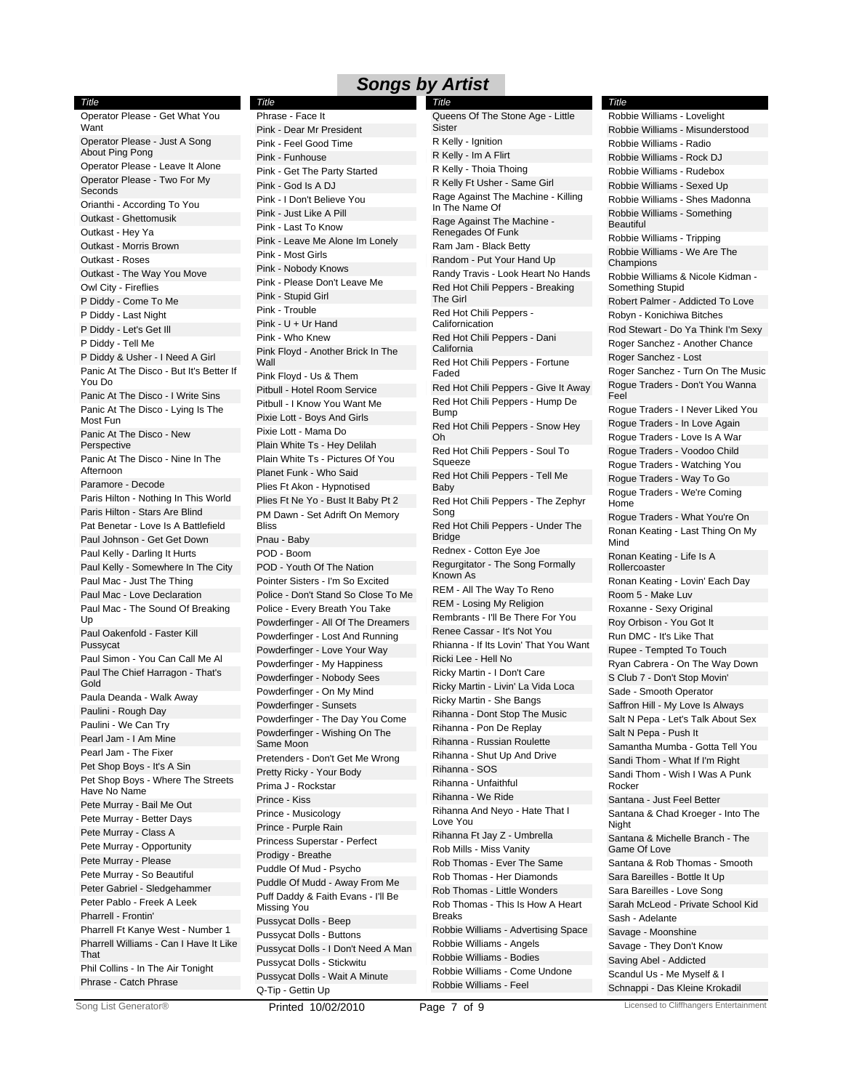*Title*

*Title* Operator Please - Get What You Want Operator Please - Just A Song About Ping Pong Operator Please - Leave It Alone Operator Please - Two For My Seconds Orianthi - According To You Outkast - Ghettomusik Outkast - Hey Ya Outkast - Morris Brown Outkast - Roses Outkast - The Way You Move Owl City - Fireflies P Diddy - Come To Me P Diddy - Last Night P Diddy - Let's Get Ill P Diddy - Tell Me P Diddy & Usher - I Need A Girl Panic At The Disco - But It's Better If You Do Panic At The Disco - I Write Sins Panic At The Disco - Lying Is The Most Fun Panic At The Disco - New Perspective Panic At The Disco - Nine In The Afternoon Paramore - Decode Paris Hilton - Nothing In This World Paris Hilton - Stars Are Blind Pat Benetar - Love Is A Battlefield Paul Johnson - Get Get Down Paul Kelly - Darling It Hurts Paul Kelly - Somewhere In The City Paul Mac - Just The Thing Paul Mac - Love Declaration Paul Mac - The Sound Of Breaking Up Paul Oakenfold - Faster Kill Pussycat Paul Simon - You Can Call Me Al Paul The Chief Harragon - That's Gold Paula Deanda - Walk Away Paulini - Rough Day Paulini - We Can Try Pearl Jam - I Am Mine Pearl Jam - The Fixer Pet Shop Boys - It's A Sin Pet Shop Boys - Where The Streets Have No Name Pete Murray - Bail Me Out Pete Murray - Better Days Pete Murray - Class A Pete Murray - Opportunity Pete Murray - Please Pete Murray - So Beautiful Peter Gabriel - Sledgehammer Peter Pablo - Freek A Leek Pharrell - Frontin' Pharrell Ft Kanye West - Number 1 Pharrell Williams - Can I Have It Like That Phil Collins - In The Air Tonight Phrase - Catch Phrase

Pink - Dear Mr President Pink - Feel Good Time Pink - Funhouse Pink - Get The Party Started Pink - God Is A DJ Pink - I Don't Believe You Pink - Just Like A Pill Pink - Last To Know Pink - Leave Me Alone Im Lonely Pink - Most Girls Pink - Nobody Knows Pink - Please Don't Leave Me Pink - Stupid Girl Pink - Trouble Pink - U + Ur Hand Pink - Who Knew Pink Floyd - Another Brick In The Wall Pink Floyd - Us & Them Pitbull - Hotel Room Service Pitbull - I Know You Want Me Pixie Lott - Boys And Girls Pixie Lott - Mama Do Plain White Ts - Hey Delilah Plain White Ts - Pictures Of You Planet Funk - Who Said Plies Ft Akon - Hypnotised Plies Ft Ne Yo - Bust It Baby Pt 2 PM Dawn - Set Adrift On Memory Bliss Pnau - Baby POD - Boom POD - Youth Of The Nation Pointer Sisters - I'm So Excited Police - Don't Stand So Close To Me Police - Every Breath You Take Powderfinger - All Of The Dreamers Powderfinger - Lost And Running Powderfinger - Love Your Way Powderfinger - My Happiness Powderfinger - Nobody Sees Powderfinger - On My Mind Powderfinger - Sunsets Powderfinger - The Day You Come Powderfinger - Wishing On The Same Moon Pretenders - Don't Get Me Wrong Pretty Ricky - Your Body Prima J - Rockstar Prince - Kiss Prince - Musicology Prince - Purple Rain Princess Superstar - Perfect Prodigy - Breathe Puddle Of Mud - Psycho Puddle Of Mudd - Away From Me Puff Daddy & Faith Evans - I'll Be Missing You Pussycat Dolls - Beep Pussycat Dolls - Buttons Pussycat Dolls - I Don't Need A Man Pussycat Dolls - Stickwitu Pussycat Dolls - Wait A Minute Q-Tip - Gettin Up *Title* Phrase - Face It

R Kelly - Ignition R Kelly - Im A Flirt R Kelly - Thoia Thoing R Kelly Ft Usher - Same Girl Rage Against The Machine - Killing In The Name Of Rage Against The Machine - Renegades Of Funk Ram Jam - Black Betty Random - Put Your Hand Up Randy Travis - Look Heart No Hands Red Hot Chili Peppers - Breaking The Girl Red Hot Chili Peppers - Californication Red Hot Chili Peppers - Dani **California** Red Hot Chili Peppers - Fortune Faded Red Hot Chili Peppers - Give It Away Red Hot Chili Peppers - Hump De Bump Red Hot Chili Peppers - Snow Hey Oh Red Hot Chili Peppers - Soul To Squeeze Red Hot Chili Peppers - Tell Me Baby Red Hot Chili Peppers - The Zephyr Song Red Hot Chili Peppers - Under The Bridge Rednex - Cotton Eye Joe Regurgitator - The Song Formally Known As REM - All The Way To Reno REM - Losing My Religion Rembrants - I'll Be There For You Renee Cassar - It's Not You Rhianna - If Its Lovin' That You Want Ricki Lee - Hell No Ricky Martin - I Don't Care Ricky Martin - Livin' La Vida Loca Ricky Martin - She Bangs Rihanna - Dont Stop The Music Rihanna - Pon De Replay Rihanna - Russian Roulette Rihanna - Shut Up And Drive Rihanna - SOS Rihanna - Unfaithful Rihanna - We Ride Rihanna And Neyo - Hate That I Love You Rihanna Ft Jay Z - Umbrella Rob Mills - Miss Vanity Rob Thomas - Ever The Same Rob Thomas - Her Diamonds Rob Thomas - Little Wonders Rob Thomas - This Is How A Heart Breaks Robbie Williams - Advertising Space Robbie Williams - Angels Robbie Williams - Bodies Robbie Williams - Come Undone Robbie Williams - Feel Queens Of The Stone Age - Little Sister

Robbie Williams - Misunderstood Robbie Williams - Radio Robbie Williams - Rock DJ Robbie Williams - Rudebox Robbie Williams - Sexed Up Robbie Williams - Shes Madonna Robbie Williams - Something **Beautiful** Robbie Williams - Tripping Robbie Williams - We Are The Champions Robbie Williams & Nicole Kidman - Something Stupid Robert Palmer - Addicted To Love Robyn - Konichiwa Bitches Rod Stewart - Do Ya Think I'm Sexy Roger Sanchez - Another Chance Roger Sanchez - Lost Roger Sanchez - Turn On The Music Rogue Traders - Don't You Wanna Feel Rogue Traders - I Never Liked You Rogue Traders - In Love Again Rogue Traders - Love Is A War Rogue Traders - Voodoo Child Rogue Traders - Watching You Rogue Traders - Way To Go Rogue Traders - We're Coming Home Rogue Traders - What You're On Ronan Keating - Last Thing On My Mind Ronan Keating - Life Is A Rollercoaster Ronan Keating - Lovin' Each Day Room 5 - Make Luv Roxanne - Sexy Original Roy Orbison - You Got It Run DMC - It's Like That Rupee - Tempted To Touch Ryan Cabrera - On The Way Down S Club 7 - Don't Stop Movin' Sade - Smooth Operator Saffron Hill - My Love Is Always Salt N Pepa - Let's Talk About Sex Salt N Pepa - Push It Samantha Mumba - Gotta Tell You Sandi Thom - What If I'm Right Sandi Thom - Wish I Was A Punk Rocker Santana - Just Feel Better Santana & Chad Kroeger - Into The **Night** Santana & Michelle Branch - The Game Of Love Santana & Rob Thomas - Smooth Sara Bareilles - Bottle It Up Sara Bareilles - Love Song Sarah McLeod - Private School Kid Sash - Adelante Savage - Moonshine Savage - They Don't Know Saving Abel - Addicted Scandul Us - Me Myself & I Schnappi - Das Kleine Krokadil *Title* Robbie Williams - Lovelight

Song List Generator® **Printed 10/02/2010** Page 7 of 9 Licensed to Cliffhangers Entertainment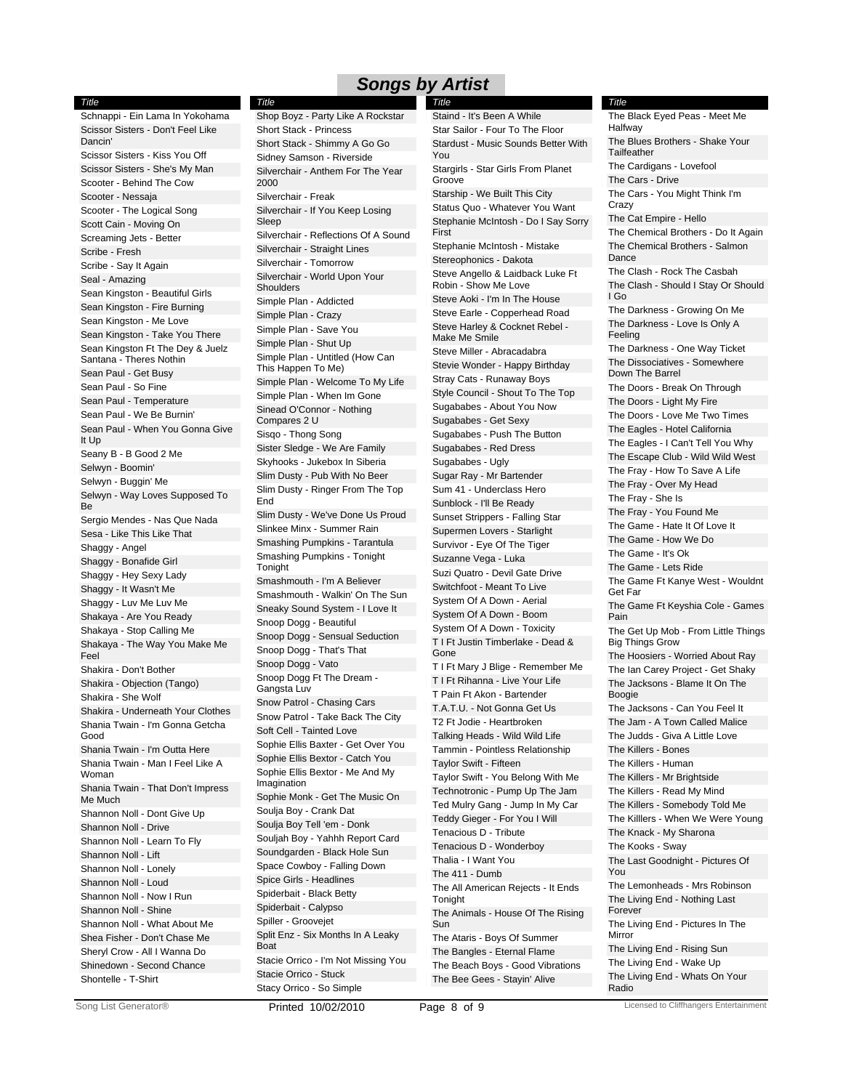*Title*

*Title*

Schnappi - Ein Lama In Yokohama Scissor Sisters - Don't Feel Like Dancin' Scissor Sisters - Kiss You Off Scissor Sisters - She's My Man Scooter - Behind The Cow Scooter - Nessaja Scooter - The Logical Song Scott Cain - Moving On Screaming Jets - Better Scribe - Fresh Scribe - Say It Again Seal - Amazing Sean Kingston - Beautiful Girls Sean Kingston - Fire Burning Sean Kingston - Me Love Sean Kingston - Take You There Sean Kingston Ft The Dey & Juelz Santana - Theres Nothin Sean Paul - Get Busy Sean Paul - So Fine Sean Paul - Temperature Sean Paul - We Be Burnin' Sean Paul - When You Gonna Give It Up Seany B - B Good 2 Me Selwyn - Boomin' Selwyn - Buggin' Me Selwyn - Way Loves Supposed To Be Sergio Mendes - Nas Que Nada Sesa - Like This Like That Shaggy - Angel Shaggy - Bonafide Girl Shaggy - Hey Sexy Lady Shaggy - It Wasn't Me Shaggy - Luv Me Luv Me Shakaya - Are You Ready Shakaya - Stop Calling Me Shakaya - The Way You Make Me Feel Shakira - Don't Bother Shakira - Objection (Tango) Shakira - She Wolf Shakira - Underneath Your Clothes Shania Twain - I'm Gonna Getcha Good Shania Twain - I'm Outta Here Shania Twain - Man I Feel Like A Woman Shania Twain - That Don't Impress Me Much Shannon Noll - Dont Give Up Shannon Noll - Drive Shannon Noll - Learn To Fly Shannon Noll - Lift Shannon Noll - Lonely Shannon Noll - Loud Shannon Noll - Now I Run Shannon Noll - Shine Shannon Noll - What About Me Shea Fisher - Don't Chase Me Sheryl Crow - All I Wanna Do Shinedown - Second Chance Shontelle - T-Shirt

Short Stack - Princess Short Stack - Shimmy A Go Go Sidney Samson - Riverside Silverchair - Anthem For The Year 2000 Silverchair - Freak Silverchair - If You Keep Losing Sleep Silverchair - Reflections Of A Sound Silverchair - Straight Lines Silverchair - Tomorrow Silverchair - World Upon Your **Shoulders** Simple Plan - Addicted Simple Plan - Crazy Simple Plan - Save You Simple Plan - Shut Up Simple Plan - Untitled (How Can This Happen To Me) Simple Plan - Welcome To My Life Simple Plan - When Im Gone Sinead O'Connor - Nothing Compares 2 U Sisqo - Thong Song Sister Sledge - We Are Family Skyhooks - Jukebox In Siberia Slim Dusty - Pub With No Beer Slim Dusty - Ringer From The Top End Slim Dusty - We've Done Us Proud Slinkee Minx - Summer Rain Smashing Pumpkins - Tarantula Smashing Pumpkins - Tonight **Tonight** Smashmouth - I'm A Believer Smashmouth - Walkin' On The Sun Sneaky Sound System - I Love It Snoop Dogg - Beautiful Snoop Dogg - Sensual Seduction Snoop Dogg - That's That Snoop Dogg - Vato Snoop Dogg Ft The Dream - Gangsta Luv Snow Patrol - Chasing Cars Snow Patrol - Take Back The City Soft Cell - Tainted Love Sophie Ellis Baxter - Get Over You Sophie Ellis Bextor - Catch You Sophie Ellis Bextor - Me And My Imagination Sophie Monk - Get The Music On Soulja Boy - Crank Dat Soulja Boy Tell 'em - Donk Souljah Boy - Yahhh Report Card Soundgarden - Black Hole Sun Space Cowboy - Falling Down Spice Girls - Headlines Spiderbait - Black Betty Spiderbait - Calypso Spiller - Groovejet Split Enz - Six Months In A Leaky Boat Stacie Orrico - I'm Not Missing You Stacie Orrico - Stuck Stacy Orrico - So Simple Shop Boyz - Party Like A Rockstar

Star Sailor - Four To The Floor Stardust - Music Sounds Better With You Stargirls - Star Girls From Planet Groove Starship - We Built This City Status Quo - Whatever You Want Stephanie McIntosh - Do I Say Sorry First Stephanie McIntosh - Mistake Stereophonics - Dakota Steve Angello & Laidback Luke Ft Robin - Show Me Love Steve Aoki - I'm In The House Steve Earle - Copperhead Road Steve Harley & Cocknet Rebel - Make Me Smile Steve Miller - Abracadabra Stevie Wonder - Happy Birthday Stray Cats - Runaway Boys Style Council - Shout To The Top Sugababes - About You Now Sugababes - Get Sexy Sugababes - Push The Button Sugababes - Red Dress Sugababes - Ugly Sugar Ray - Mr Bartender Sum 41 - Underclass Hero Sunblock - I'll Be Ready Sunset Strippers - Falling Star Supermen Lovers - Starlight Survivor - Eye Of The Tiger Suzanne Vega - Luka Suzi Quatro - Devil Gate Drive Switchfoot - Meant To Live System Of A Down - Aerial System Of A Down - Boom System Of A Down - Toxicity T I Ft Justin Timberlake - Dead & Gone T I Ft Mary J Blige - Remember Me T I Ft Rihanna - Live Your Life T Pain Ft Akon - Bartender T.A.T.U. - Not Gonna Get Us T2 Ft Jodie - Heartbroken Talking Heads - Wild Wild Life Tammin - Pointless Relationship Taylor Swift - Fifteen Taylor Swift - You Belong With Me Technotronic - Pump Up The Jam Ted Mulry Gang - Jump In My Car Teddy Gieger - For You I Will Tenacious D - Tribute Tenacious D - Wonderboy Thalia - I Want You The 411 - Dumb The All American Rejects - It Ends **Tonight** The Animals - House Of The Rising Sun The Ataris - Boys Of Summer The Bangles - Eternal Flame The Beach Boys - Good Vibrations The Bee Gees - Stayin' Alive *Title* Staind - It's Been A While

#### The Blues Brothers - Shake Your **Tailfeather** The Cardigans - Lovefool The Cars - Drive The Cars - You Might Think I'm Crazy The Cat Empire - Hello The Chemical Brothers - Do It Again The Chemical Brothers - Salmon Dance The Clash - Rock The Casbah The Clash - Should I Stay Or Should I Go The Darkness - Growing On Me The Darkness - Love Is Only A Feeling The Darkness - One Way Ticket The Dissociatives - Somewhere Down The Barrel The Doors - Break On Through The Doors - Light My Fire The Doors - Love Me Two Times The Eagles - Hotel California The Eagles - I Can't Tell You Why The Escape Club - Wild Wild West The Fray - How To Save A Life The Fray - Over My Head The Fray - She Is The Fray - You Found Me The Game - Hate It Of Love It The Game - How We Do The Game - It's Ok The Game - Lets Ride The Game Ft Kanye West - Wouldnt Get Far The Game Ft Keyshia Cole - Games Pain The Get Up Mob - From Little Things Big Things Grow The Hoosiers - Worried About Ray The Ian Carey Project - Get Shaky The Jacksons - Blame It On The Boogie The Jacksons - Can You Feel It The Jam - A Town Called Malice The Judds - Giva A Little Love The Killers - Bones The Killers - Human The Killers - Mr Brightside The Killers - Read My Mind The Killers - Somebody Told Me The Killlers - When We Were Young The Knack - My Sharona The Kooks - Sway The Last Goodnight - Pictures Of You The Lemonheads - Mrs Robinson The Living End - Nothing Last Forever The Living End - Pictures In The Mirror The Living End - Rising Sun The Living End - Wake Up The Living End - Whats On Your Radio *Title* The Black Eyed Peas - Meet Me Halfway

**Printed 10/02/2010 Page 8 of 9 Licensed to Cliffhangers Entertainment** Cong List Generator® **Printed 10/02/2010** Page 8 of 9